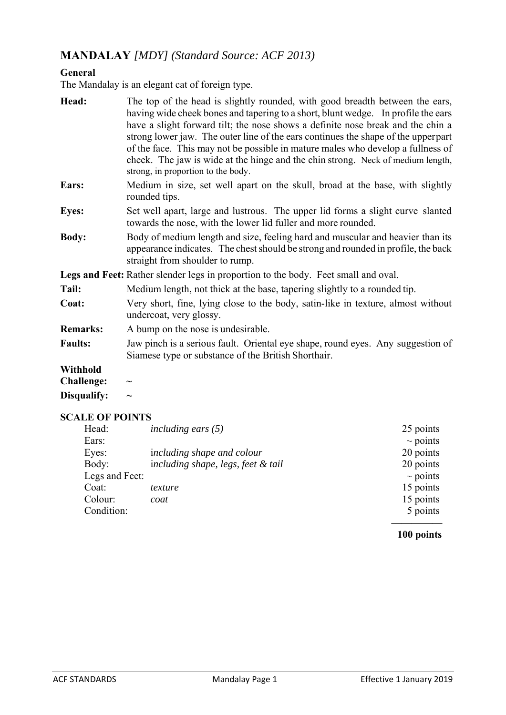# **MANDALAY** *[MDY] (Standard Source: ACF 2013)*

#### **General**

The Mandalay is an elegant cat of foreign type.

| Head:                  | The top of the head is slightly rounded, with good breadth between the ears,<br>having wide cheek bones and tapering to a short, blunt wedge. In profile the ears<br>have a slight forward tilt; the nose shows a definite nose break and the chin a<br>strong lower jaw. The outer line of the ears continues the shape of the upperpart<br>of the face. This may not be possible in mature males who develop a fullness of<br>cheek. The jaw is wide at the hinge and the chin strong. Neck of medium length,<br>strong, in proportion to the body. |  |
|------------------------|-------------------------------------------------------------------------------------------------------------------------------------------------------------------------------------------------------------------------------------------------------------------------------------------------------------------------------------------------------------------------------------------------------------------------------------------------------------------------------------------------------------------------------------------------------|--|
| Ears:                  | Medium in size, set well apart on the skull, broad at the base, with slightly<br>rounded tips.                                                                                                                                                                                                                                                                                                                                                                                                                                                        |  |
| <b>Eyes:</b>           | Set well apart, large and lustrous. The upper lid forms a slight curve slanted<br>towards the nose, with the lower lid fuller and more rounded.                                                                                                                                                                                                                                                                                                                                                                                                       |  |
| <b>Body:</b>           | Body of medium length and size, feeling hard and muscular and heavier than its<br>appearance indicates. The chest should be strong and rounded in profile, the back<br>straight from shoulder to rump.                                                                                                                                                                                                                                                                                                                                                |  |
|                        | Legs and Feet: Rather slender legs in proportion to the body. Feet small and oval.                                                                                                                                                                                                                                                                                                                                                                                                                                                                    |  |
| Tail:                  | Medium length, not thick at the base, tapering slightly to a rounded tip.                                                                                                                                                                                                                                                                                                                                                                                                                                                                             |  |
| Coat:                  | Very short, fine, lying close to the body, satin-like in texture, almost without<br>undercoat, very glossy.                                                                                                                                                                                                                                                                                                                                                                                                                                           |  |
| <b>Remarks:</b>        | A bump on the nose is undesirable.                                                                                                                                                                                                                                                                                                                                                                                                                                                                                                                    |  |
| <b>Faults:</b>         | Jaw pinch is a serious fault. Oriental eye shape, round eyes. Any suggestion of<br>Siamese type or substance of the British Shorthair.                                                                                                                                                                                                                                                                                                                                                                                                                |  |
| Withhold               |                                                                                                                                                                                                                                                                                                                                                                                                                                                                                                                                                       |  |
| <b>Challenge:</b>      | $\widetilde{\phantom{m}}$                                                                                                                                                                                                                                                                                                                                                                                                                                                                                                                             |  |
| Disqualify:            | $\widetilde{\phantom{m}}$                                                                                                                                                                                                                                                                                                                                                                                                                                                                                                                             |  |
| <b>SCALE OF POINTS</b> |                                                                                                                                                                                                                                                                                                                                                                                                                                                                                                                                                       |  |
| Head:                  | including ears $(5)$<br>25 points                                                                                                                                                                                                                                                                                                                                                                                                                                                                                                                     |  |

| Ticau.         | $m$ cuality ears (5)               | $2J$ points   |
|----------------|------------------------------------|---------------|
| Ears:          |                                    | $\sim$ points |
| Eyes:          | including shape and colour         | 20 points     |
| Body:          | including shape, legs, feet & tail | 20 points     |
| Legs and Feet: |                                    | $\sim$ points |
| Coat:          | texture                            | 15 points     |
| Colour:        | coat                               | 15 points     |
| Condition:     |                                    | 5 points      |
|                |                                    |               |

#### **100 points**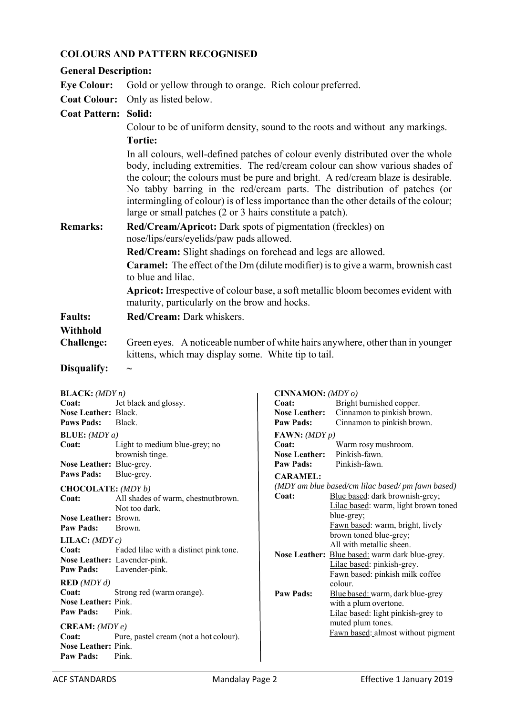## **COLOURS AND PATTERN RECOGNISED**

| <b>General Description:</b>                                                       |                                                                                                                                                                                                                                                                                                                                                                                                                                                                                       |                                                                                |                                                                         |  |
|-----------------------------------------------------------------------------------|---------------------------------------------------------------------------------------------------------------------------------------------------------------------------------------------------------------------------------------------------------------------------------------------------------------------------------------------------------------------------------------------------------------------------------------------------------------------------------------|--------------------------------------------------------------------------------|-------------------------------------------------------------------------|--|
| <b>Eye Colour:</b>                                                                | Gold or yellow through to orange. Rich colour preferred.                                                                                                                                                                                                                                                                                                                                                                                                                              |                                                                                |                                                                         |  |
| <b>Coat Colour:</b>                                                               | Only as listed below.                                                                                                                                                                                                                                                                                                                                                                                                                                                                 |                                                                                |                                                                         |  |
| <b>Coat Pattern: Solid:</b>                                                       |                                                                                                                                                                                                                                                                                                                                                                                                                                                                                       |                                                                                |                                                                         |  |
|                                                                                   | Colour to be of uniform density, sound to the roots and without any markings.                                                                                                                                                                                                                                                                                                                                                                                                         |                                                                                |                                                                         |  |
|                                                                                   | <b>Tortie:</b>                                                                                                                                                                                                                                                                                                                                                                                                                                                                        |                                                                                |                                                                         |  |
|                                                                                   | In all colours, well-defined patches of colour evenly distributed over the whole<br>body, including extremities. The red/cream colour can show various shades of<br>the colour; the colours must be pure and bright. A red/cream blaze is desirable.<br>No tabby barring in the red/cream parts. The distribution of patches (or<br>intermingling of colour) is of less importance than the other details of the colour;<br>large or small patches (2 or 3 hairs constitute a patch). |                                                                                |                                                                         |  |
| <b>Remarks:</b>                                                                   | Red/Cream/Apricot: Dark spots of pigmentation (freckles) on<br>nose/lips/ears/eyelids/paw pads allowed.                                                                                                                                                                                                                                                                                                                                                                               |                                                                                |                                                                         |  |
|                                                                                   | Red/Cream: Slight shadings on forehead and legs are allowed.<br><b>Caramel:</b> The effect of the Dm (dilute modifier) is to give a warm, brownish cast<br>to blue and lilac.                                                                                                                                                                                                                                                                                                         |                                                                                |                                                                         |  |
|                                                                                   | Apricot: Irrespective of colour base, a soft metallic bloom becomes evident with<br>maturity, particularly on the brow and hocks.                                                                                                                                                                                                                                                                                                                                                     |                                                                                |                                                                         |  |
| <b>Faults:</b>                                                                    | Red/Cream: Dark whiskers.                                                                                                                                                                                                                                                                                                                                                                                                                                                             |                                                                                |                                                                         |  |
| Withhold                                                                          |                                                                                                                                                                                                                                                                                                                                                                                                                                                                                       |                                                                                |                                                                         |  |
| <b>Challenge:</b>                                                                 |                                                                                                                                                                                                                                                                                                                                                                                                                                                                                       | Green eyes. A noticeable number of white hairs anywhere, other than in younger |                                                                         |  |
| Disqualify:                                                                       | kittens, which may display some. White tip to tail.                                                                                                                                                                                                                                                                                                                                                                                                                                   |                                                                                |                                                                         |  |
|                                                                                   |                                                                                                                                                                                                                                                                                                                                                                                                                                                                                       |                                                                                |                                                                         |  |
| <b>BLACK:</b> $(MDYn)$                                                            |                                                                                                                                                                                                                                                                                                                                                                                                                                                                                       | CINNAMON: $(MDY\,o)$                                                           |                                                                         |  |
| Coat:<br>Nose Leather: Black.                                                     | Jet black and glossy.                                                                                                                                                                                                                                                                                                                                                                                                                                                                 | Coat:<br><b>Nose Leather:</b>                                                  | Bright burnished copper.<br>Cinnamon to pinkish brown.                  |  |
| <b>Paws Pads:</b>                                                                 | Black.                                                                                                                                                                                                                                                                                                                                                                                                                                                                                | <b>Paw Pads:</b>                                                               | Cinnamon to pinkish brown.                                              |  |
| <b>BLUE:</b> $(MDYa)$                                                             |                                                                                                                                                                                                                                                                                                                                                                                                                                                                                       | FAWN: $(MDY p)$                                                                |                                                                         |  |
| Coat:                                                                             | Light to medium blue-grey; no<br>brownish tinge.                                                                                                                                                                                                                                                                                                                                                                                                                                      | Coat:<br><b>Nose Leather:</b>                                                  | Warm rosy mushroom.<br>Pinkish-fawn.                                    |  |
| Nose Leather: Blue-grey.                                                          |                                                                                                                                                                                                                                                                                                                                                                                                                                                                                       | <b>Paw Pads:</b>                                                               | Pinkish-fawn.                                                           |  |
|                                                                                   | <b>Paws Pads:</b><br>Blue-grey.<br><b>CARAMEL:</b><br>(MDY am blue based/cm lilac based/ pm fawn based)                                                                                                                                                                                                                                                                                                                                                                               |                                                                                |                                                                         |  |
| CHOCOLATE: (MDY b)<br>Coat:                                                       | All shades of warm, chestnutbrown.<br>Not too dark.                                                                                                                                                                                                                                                                                                                                                                                                                                   | Coat:                                                                          | Blue based: dark brownish-grey;<br>Lilac based: warm, light brown toned |  |
| Nose Leather: Brown.<br><b>Paw Pads:</b>                                          | Brown.                                                                                                                                                                                                                                                                                                                                                                                                                                                                                |                                                                                | blue-grey;<br>Fawn based: warm, bright, lively                          |  |
| LILAC: $(MDYc)$                                                                   |                                                                                                                                                                                                                                                                                                                                                                                                                                                                                       |                                                                                | brown toned blue-grey;<br>All with metallic sheen.                      |  |
| Coat:<br>Nose Leather: Lavender-pink.                                             | Faded lilac with a distinct pink tone.                                                                                                                                                                                                                                                                                                                                                                                                                                                |                                                                                | Nose Leather: Blue based: warm dark blue-grey.                          |  |
| <b>Paw Pads:</b>                                                                  | Lavender-pink.                                                                                                                                                                                                                                                                                                                                                                                                                                                                        |                                                                                | Lilac based: pinkish-grey.<br>Fawn based: pinkish milk coffee           |  |
| RED(MDYd)                                                                         |                                                                                                                                                                                                                                                                                                                                                                                                                                                                                       |                                                                                | colour.                                                                 |  |
| Coat:<br>Nose Leather: Pink.                                                      | Strong red (warm orange).                                                                                                                                                                                                                                                                                                                                                                                                                                                             | <b>Paw Pads:</b>                                                               | Blue based: warm, dark blue-grey<br>with a plum overtone.               |  |
| <b>Paw Pads:</b>                                                                  | Pink.                                                                                                                                                                                                                                                                                                                                                                                                                                                                                 |                                                                                | Lilac based: light pinkish-grey to                                      |  |
| muted plum tones.<br><b>CREAM:</b> $(MDYe)$<br>Fawn based: almost without pigment |                                                                                                                                                                                                                                                                                                                                                                                                                                                                                       |                                                                                |                                                                         |  |
| Coat:<br><b>Nose Leather: Pink.</b><br><b>Paw Pads:</b>                           | Pure, pastel cream (not a hot colour).<br>Pink.                                                                                                                                                                                                                                                                                                                                                                                                                                       |                                                                                |                                                                         |  |